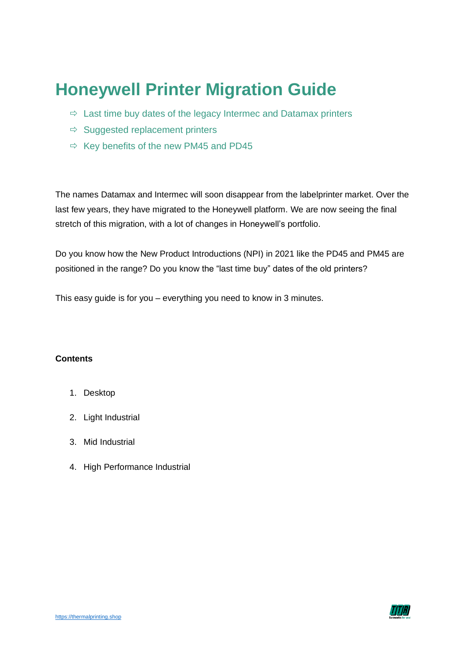# **Honeywell Printer Migration Guide**

- $\Rightarrow$  Last time buy dates of the legacy Intermec and Datamax printers
- $\Rightarrow$  Suggested replacement printers
- $\Rightarrow$  Key benefits of the new PM45 and PD45

The names Datamax and Intermec will soon disappear from the labelprinter market. Over the last few years, they have migrated to the Honeywell platform. We are now seeing the final stretch of this migration, with a lot of changes in Honeywell's portfolio.

Do you know how the New Product Introductions (NPI) in 2021 like the PD45 and PM45 are positioned in the range? Do you know the "last time buy" dates of the old printers?

This easy guide is for you – everything you need to know in 3 minutes.

#### **Contents**

- 1. Desktop
- 2. Light Industrial
- 3. Mid Industrial
- 4. High Performance Industrial

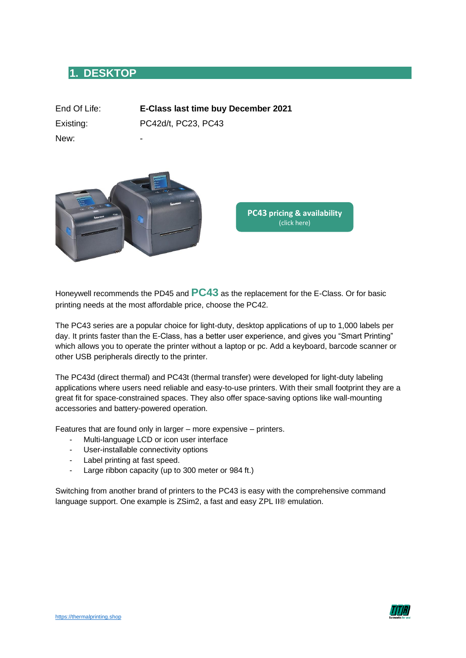### **1. DESKTOP**

| End Of Life: | E-Class last time buy December 2021 |
|--------------|-------------------------------------|
| Existing:    | PC42d/t, PC23, PC43                 |
| New:         | -                                   |



**PC43 [pricing & availability](https://thermalprinting.shop/Honeywell-PC43d-DirectThermal-203dpi-4inch)** (click here)

Honeywell recommends the PD45 and **PC43** as the replacement for the E-Class. Or for basic printing needs at the most affordable price, choose the PC42.

The PC43 series are a popular choice for light-duty, desktop applications of up to 1,000 labels per day. It prints faster than the E-Class, has a better user experience, and gives you "Smart Printing" which allows you to operate the printer without a laptop or pc. Add a keyboard, barcode scanner or other USB peripherals directly to the printer.

The PC43d (direct thermal) and PC43t (thermal transfer) were developed for light-duty labeling applications where users need reliable and easy-to-use printers. With their small footprint they are a great fit for space-constrained spaces. They also offer space-saving options like wall-mounting accessories and battery-powered operation.

Features that are found only in larger – more expensive – printers.

- Multi-language LCD or icon user interface
- User-installable connectivity options
- Label printing at fast speed.
- Large ribbon capacity (up to 300 meter or 984 ft.)

Switching from another brand of printers to the PC43 is easy with the comprehensive command language support. One example is ZSim2, a fast and easy ZPL II® emulation.

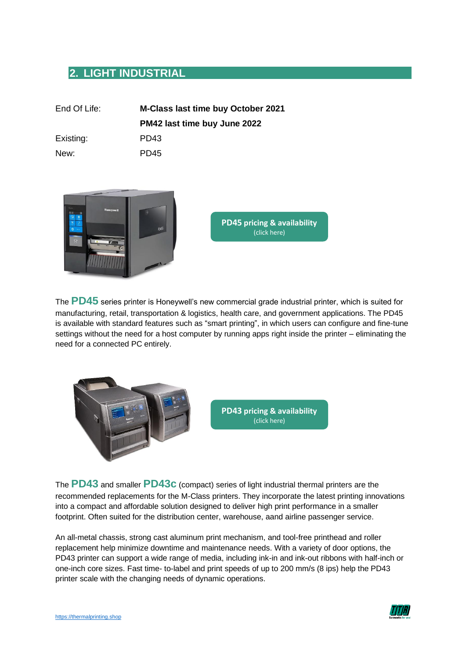# **2. LIGHT INDUSTRIAL**

| End Of Life: | <b>M-Class last time buy October 2021</b> |
|--------------|-------------------------------------------|
|              | PM42 last time buy June 2022              |
| Existing:    | PD <sub>43</sub>                          |
| New:         | PD <sub>45</sub>                          |



**PD45 [pricing & availability](https://thermalprinting.shop/honeywell-pd45-200dpi-thermal-transfer-200dpi-200-mm-s)** (click here)

The **PD45** series printer is Honeywell's new commercial grade industrial printer, which is suited for manufacturing, retail, transportation & logistics, health care, and government applications. The PD45 is available with standard features such as "smart printing", in which users can configure and fine-tune settings without the need for a host computer by running apps right inside the printer – eliminating the need for a connected PC entirely.



The **PD43** and smaller **PD43c** (compact) series of light industrial thermal printers are the recommended replacements for the M-Class printers. They incorporate the latest printing innovations into a compact and affordable solution designed to deliver high print performance in a smaller footprint. Often suited for the distribution center, warehouse, aand airline passenger service.

An all-metal chassis, strong cast aluminum print mechanism, and tool-free printhead and roller replacement help minimize downtime and maintenance needs. With a variety of door options, the PD43 printer can support a wide range of media, including ink-in and ink-out ribbons with half-inch or one-inch core sizes. Fast time- to-label and print speeds of up to 200 mm/s (8 ips) help the PD43 printer scale with the changing needs of dynamic operations.

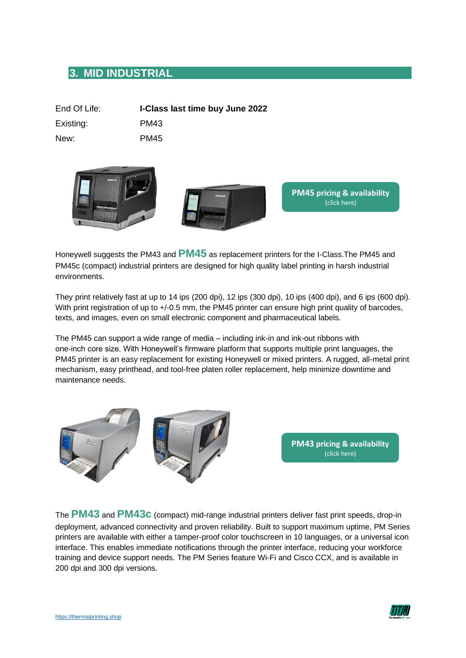### **3. MID INDUSTRIAL**

| End Of Life: | I-Class last time buy June 2022 |
|--------------|---------------------------------|
| Existing:    | PM43                            |
| New:         | PM45                            |





**PM45 [pricing & availability](https://thermalprinting.shop/honeywell-pm45-200dpi-direct-thermal-200dpi-4-inch)** (click here)

Honeywell suggests the PM43 and **PM45** as replacement printers for the I-Class.The PM45 and PM45c (compact) industrial printers are designed for high quality label printing in harsh industrial environments.

They print relatively fast at up to 14 ips (200 dpi), 12 ips (300 dpi), 10 ips (400 dpi), and 6 ips (600 dpi). With print registration of up to  $+/-0.5$  mm, the PM45 printer can ensure high print quality of barcodes, texts, and images, even on small electronic component and pharmaceutical labels.

The PM45 can support a wide range of media – including ink-in and ink-out ribbons with one-inch core size. With Honeywell's firmware platform that supports multiple print languages, the PM45 printer is an easy replacement for existing Honeywell or mixed printers. A rugged, all-metal print mechanism, easy printhead, and tool-free platen roller replacement, help minimize downtime and maintenance needs.



The **PM43** and **PM43c** (compact) mid-range industrial printers deliver fast print speeds, drop-in deployment, advanced connectivity and proven reliability. Built to support maximum uptime, PM Series printers are available with either a tamper-proof color touchscreen in 10 languages, or a universal icon interface. This enables immediate notifications through the printer interface, reducing your workforce training and device support needs. The PM Series feature Wi-Fi and Cisco CCX, and is available in 200 dpi and 300 dpi versions.